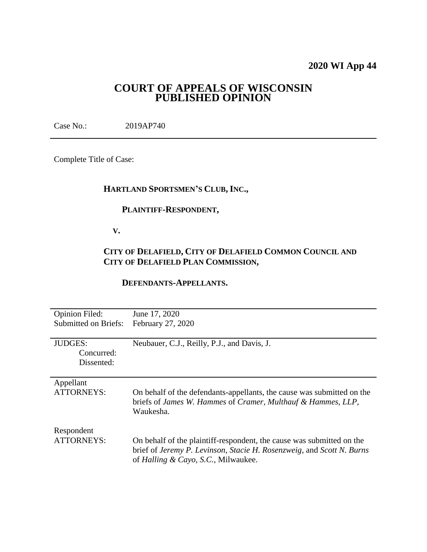# **2020 WI App 44**

# **COURT OF APPEALS OF WISCONSIN PUBLISHED OPINION**

Case No.: 2019AP740

Complete Title of Case:

# **HARTLAND SPORTSMEN'S CLUB, INC.,**

## **PLAINTIFF-RESPONDENT,**

 **V.**

# **CITY OF DELAFIELD, CITY OF DELAFIELD COMMON COUNCIL AND CITY OF DELAFIELD PLAN COMMISSION,**

## **DEFENDANTS-APPELLANTS.**

| <b>Opinion Filed:</b>       | June 17, 2020                                                          |
|-----------------------------|------------------------------------------------------------------------|
| <b>Submitted on Briefs:</b> | February 27, 2020                                                      |
|                             |                                                                        |
| <b>JUDGES:</b>              | Neubauer, C.J., Reilly, P.J., and Davis, J.                            |
| Concurred:                  |                                                                        |
| Dissented:                  |                                                                        |
|                             |                                                                        |
| Appellant                   |                                                                        |
| <b>ATTORNEYS:</b>           | On behalf of the defendants-appellants, the cause was submitted on the |
|                             | briefs of James W. Hammes of Cramer, Multhauf & Hammes, LLP,           |
|                             | Waukesha.                                                              |
|                             |                                                                        |
| Respondent                  |                                                                        |
| <b>ATTORNEYS:</b>           | On behalf of the plaintiff-respondent, the cause was submitted on the  |
|                             | brief of Jeremy P. Levinson, Stacie H. Rosenzweig, and Scott N. Burns  |
|                             | of Halling & Cayo, S.C., Milwaukee.                                    |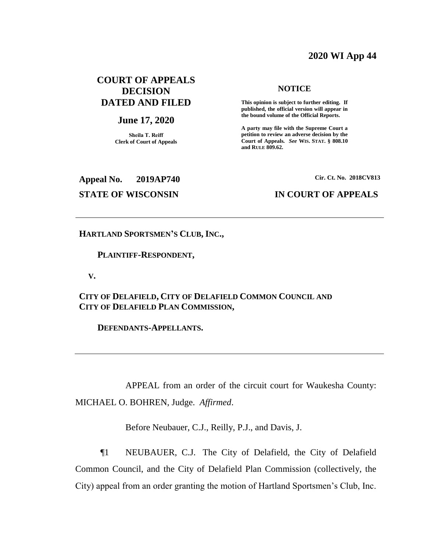# **2020 WI App 44**

# **COURT OF APPEALS DECISION DATED AND FILED**

### **June 17, 2020**

**Sheila T. Reiff Clerk of Court of Appeals**

### **NOTICE**

**This opinion is subject to further editing. If published, the official version will appear in the bound volume of the Official Reports.** 

**A party may file with the Supreme Court a petition to review an adverse decision by the Court of Appeals.** *See* **WIS. STAT. § 808.10 and RULE 809.62.** 

**Appeal No. 2019AP740 Cir. Ct. No. 2018CV813**

## **STATE OF WISCONSIN IN COURT OF APPEALS**

### **HARTLAND SPORTSMEN'S CLUB, INC.,**

### **PLAINTIFF-RESPONDENT,**

 **V.**

**CITY OF DELAFIELD, CITY OF DELAFIELD COMMON COUNCIL AND CITY OF DELAFIELD PLAN COMMISSION,**

 **DEFENDANTS-APPELLANTS.**

APPEAL from an order of the circuit court for Waukesha County: MICHAEL O. BOHREN, Judge. *Affirmed*.

Before Neubauer, C.J., Reilly, P.J., and Davis, J.

¶1 NEUBAUER, C.J. The City of Delafield, the City of Delafield Common Council, and the City of Delafield Plan Commission (collectively, the City) appeal from an order granting the motion of Hartland Sportsmen's Club, Inc.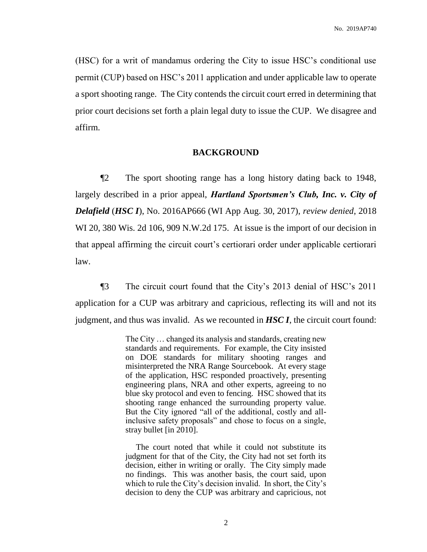(HSC) for a writ of mandamus ordering the City to issue HSC's conditional use permit (CUP) based on HSC's 2011 application and under applicable law to operate a sport shooting range. The City contends the circuit court erred in determining that prior court decisions set forth a plain legal duty to issue the CUP. We disagree and affirm.

### **BACKGROUND**

¶2 The sport shooting range has a long history dating back to 1948, largely described in a prior appeal, *Hartland Sportsmen's Club, Inc. v. City of Delafield* (*HSC I*), No. 2016AP666 (WI App Aug. 30, 2017), *review denied*, 2018 WI 20, 380 Wis. 2d 106, 909 N.W.2d 175. At issue is the import of our decision in that appeal affirming the circuit court's certiorari order under applicable certiorari law.

¶3 The circuit court found that the City's 2013 denial of HSC's 2011 application for a CUP was arbitrary and capricious, reflecting its will and not its judgment, and thus was invalid. As we recounted in *HSC I*, the circuit court found:

> The City … changed its analysis and standards, creating new standards and requirements. For example, the City insisted on DOE standards for military shooting ranges and misinterpreted the NRA Range Sourcebook. At every stage of the application, HSC responded proactively, presenting engineering plans, NRA and other experts, agreeing to no blue sky protocol and even to fencing. HSC showed that its shooting range enhanced the surrounding property value. But the City ignored "all of the additional, costly and allinclusive safety proposals" and chose to focus on a single, stray bullet [in 2010].

> The court noted that while it could not substitute its judgment for that of the City, the City had not set forth its decision, either in writing or orally. The City simply made no findings. This was another basis, the court said, upon which to rule the City's decision invalid. In short, the City's decision to deny the CUP was arbitrary and capricious, not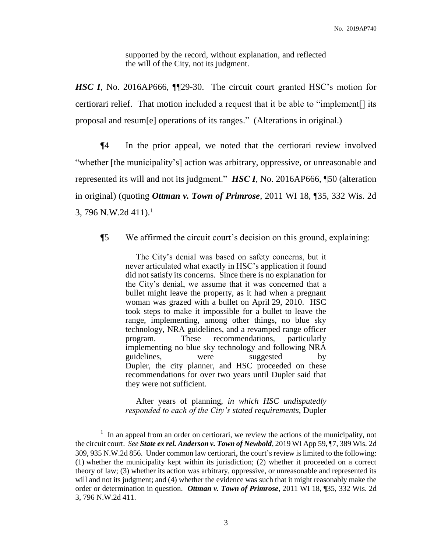supported by the record, without explanation, and reflected the will of the City, not its judgment.

*HSC I*, No. 2016AP666, ¶¶29-30. The circuit court granted HSC's motion for certiorari relief. That motion included a request that it be able to "implement[] its proposal and resum[e] operations of its ranges." (Alterations in original.)

¶4 In the prior appeal, we noted that the certiorari review involved "whether [the municipality's] action was arbitrary, oppressive, or unreasonable and represented its will and not its judgment." *HSC I*, No. 2016AP666, ¶50 (alteration in original) (quoting *Ottman v. Town of Primrose*, 2011 WI 18, ¶35, 332 Wis. 2d 3, 796 N.W.2d  $411$ ).<sup>1</sup>

## ¶5 We affirmed the circuit court's decision on this ground, explaining:

 The City's denial was based on safety concerns, but it never articulated what exactly in HSC's application it found did not satisfy its concerns. Since there is no explanation for the City's denial, we assume that it was concerned that a bullet might leave the property, as it had when a pregnant woman was grazed with a bullet on April 29, 2010. HSC took steps to make it impossible for a bullet to leave the range, implementing, among other things, no blue sky technology, NRA guidelines, and a revamped range officer program. These recommendations, particularly implementing no blue sky technology and following NRA guidelines, were suggested by Dupler, the city planner, and HSC proceeded on these recommendations for over two years until Dupler said that they were not sufficient.

 After years of planning, *in which HSC undisputedly responded to each of the City's stated requirements*, Dupler

 $<sup>1</sup>$  In an appeal from an order on certiorari, we review the actions of the municipality, not</sup> the circuit court. *See State ex rel. Anderson v. Town of Newbold*, 2019 WI App 59, ¶7, 389 Wis. 2d 309, 935 N.W.2d 856. Under common law certiorari, the court's review is limited to the following: (1) whether the municipality kept within its jurisdiction; (2) whether it proceeded on a correct theory of law; (3) whether its action was arbitrary, oppressive, or unreasonable and represented its will and not its judgment; and (4) whether the evidence was such that it might reasonably make the order or determination in question. *Ottman v. Town of Primrose*, 2011 WI 18, ¶35, 332 Wis. 2d 3, 796 N.W.2d 411.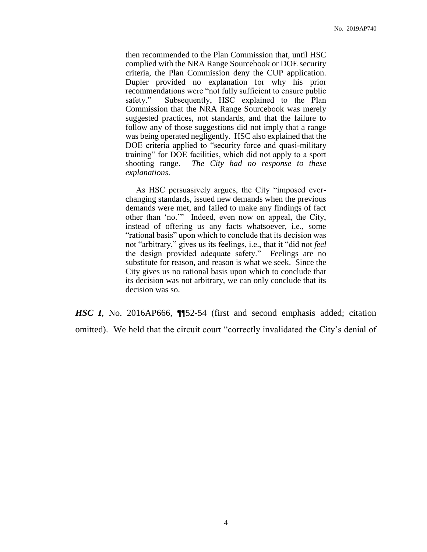then recommended to the Plan Commission that, until HSC complied with the NRA Range Sourcebook or DOE security criteria, the Plan Commission deny the CUP application. Dupler provided no explanation for why his prior recommendations were "not fully sufficient to ensure public safety." Subsequently, HSC explained to the Plan Commission that the NRA Range Sourcebook was merely suggested practices, not standards, and that the failure to follow any of those suggestions did not imply that a range was being operated negligently. HSC also explained that the DOE criteria applied to "security force and quasi-military training" for DOE facilities, which did not apply to a sport shooting range. *The City had no response to these explanations*.

 As HSC persuasively argues, the City "imposed everchanging standards, issued new demands when the previous demands were met, and failed to make any findings of fact other than 'no.'" Indeed, even now on appeal, the City, instead of offering us any facts whatsoever, i.e., some "rational basis" upon which to conclude that its decision was not "arbitrary," gives us its feelings, i.e., that it "did not *feel* the design provided adequate safety." Feelings are no substitute for reason, and reason is what we seek. Since the City gives us no rational basis upon which to conclude that its decision was not arbitrary, we can only conclude that its decision was so.

*HSC I*, No. 2016AP666, ¶¶52-54 (first and second emphasis added; citation omitted). We held that the circuit court "correctly invalidated the City's denial of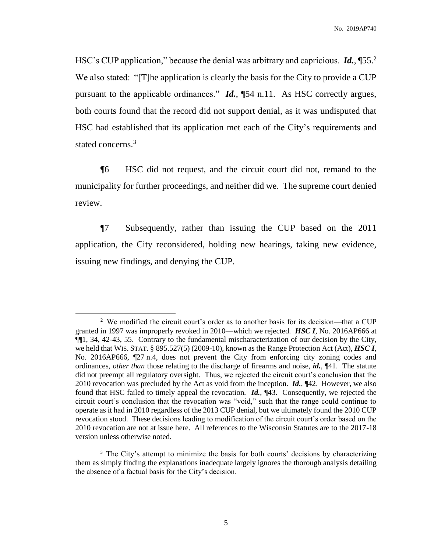HSC's CUP application," because the denial was arbitrary and capricious. *Id.*, ¶55.<sup>2</sup> We also stated: "[T]he application is clearly the basis for the City to provide a CUP pursuant to the applicable ordinances." *Id.*, ¶54 n.11. As HSC correctly argues, both courts found that the record did not support denial, as it was undisputed that HSC had established that its application met each of the City's requirements and stated concerns. 3

¶6 HSC did not request, and the circuit court did not, remand to the municipality for further proceedings, and neither did we. The supreme court denied review.

¶7 Subsequently, rather than issuing the CUP based on the 2011 application, the City reconsidered, holding new hearings, taking new evidence, issuing new findings, and denying the CUP.

<sup>&</sup>lt;sup>2</sup> We modified the circuit court's order as to another basis for its decision—that a CUP granted in 1997 was improperly revoked in 2010—which we rejected. *HSC I*, No. 2016AP666 at ¶¶1, 34, 42-43, 55. Contrary to the fundamental mischaracterization of our decision by the City, we held that WIS. STAT. § 895.527(5) (2009-10), known as the Range Protection Act (Act), *HSC I*, No. 2016AP666, ¶27 n.4, does not prevent the City from enforcing city zoning codes and ordinances, *other than* those relating to the discharge of firearms and noise, *id.*, ¶41. The statute did not preempt all regulatory oversight. Thus, we rejected the circuit court's conclusion that the 2010 revocation was precluded by the Act as void from the inception. *Id.*, ¶42. However, we also found that HSC failed to timely appeal the revocation. *Id.*, ¶43. Consequently, we rejected the circuit court's conclusion that the revocation was "void," such that the range could continue to operate as it had in 2010 regardless of the 2013 CUP denial, but we ultimately found the 2010 CUP revocation stood. These decisions leading to modification of the circuit court's order based on the 2010 revocation are not at issue here. All references to the Wisconsin Statutes are to the 2017-18 version unless otherwise noted.

<sup>&</sup>lt;sup>3</sup> The City's attempt to minimize the basis for both courts' decisions by characterizing them as simply finding the explanations inadequate largely ignores the thorough analysis detailing the absence of a factual basis for the City's decision.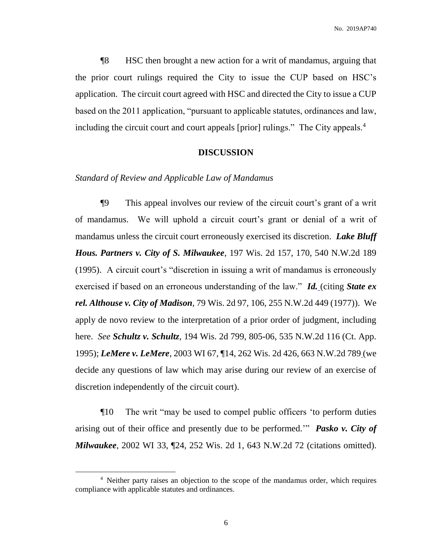¶8 HSC then brought a new action for a writ of mandamus, arguing that the prior court rulings required the City to issue the CUP based on HSC's application. The circuit court agreed with HSC and directed the City to issue a CUP based on the 2011 application, "pursuant to applicable statutes, ordinances and law, including the circuit court and court appeals [prior] rulings." The City appeals.<sup>4</sup>

## **DISCUSSION**

### *Standard of Review and Applicable Law of Mandamus*

¶9 This appeal involves our review of the circuit court's grant of a writ of mandamus. We will uphold a circuit court's grant or denial of a writ of mandamus unless the circuit court erroneously exercised its discretion. *Lake Bluff Hous. Partners v. City of S. Milwaukee*, 197 Wis. 2d 157, 170, 540 N.W.2d 189 (1995). A circuit court's "discretion in issuing a writ of mandamus is erroneously exercised if based on an erroneous understanding of the law." *[Id.](https://1.next.westlaw.com/Link/Document/FullText?findType=Y&serNum=1995233330&pubNum=0000824&originatingDoc=I19300ce05a7e11ea851bfabee22f40c8&refType=RP&fi=co_pp_sp_824_170&originationContext=document&transitionType=DocumentItem&contextData=(sc.CustomDigest)#co_pp_sp_824_170)* (citing *State ex rel. Althouse v. City of Madison*, 79 Wis. 2d 97, 106, 255 N.W.2d 449 (1977)). We apply de novo review to the interpretation of a prior order of judgment, including here. *See Schultz v. Schultz*, 194 Wis. 2d 799, 805-06, 535 N.W.2d 116 (Ct. App. 1995); *LeMere v. LeMere*, 2003 WI 67, ¶14, 262 Wis. 2d 426, 663 N.W.2d 789 (we decide any questions of law which may arise during our review of an exercise of discretion independently of the circuit court).

¶10 The writ "may be used to compel public officers 'to perform duties arising out of their office and presently due to be performed.'" *Pasko v. City of Milwaukee*, 2002 WI 33, ¶24, 252 Wis. 2d 1, 643 N.W.2d 72 (citations omitted).

<sup>&</sup>lt;sup>4</sup> Neither party raises an objection to the scope of the mandamus order, which requires compliance with applicable statutes and ordinances.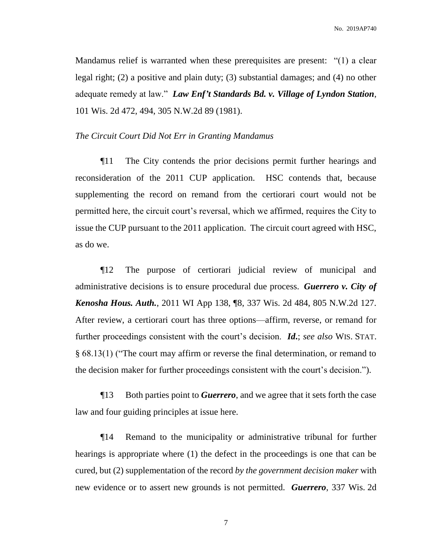Mandamus relief is warranted when these prerequisites are present: "(1) a clear legal right; (2) a positive and plain duty; (3) substantial damages; and (4) no other adequate remedy at law." *Law Enf't Standards Bd. v. Village of Lyndon Station*, 101 Wis. 2d 472, 494, 305 N.W.2d 89 (1981).

### *The Circuit Court Did Not Err in Granting Mandamus*

¶11 The City contends the prior decisions permit further hearings and reconsideration of the 2011 CUP application. HSC contends that, because supplementing the record on remand from the certiorari court would not be permitted here, the circuit court's reversal, which we affirmed, requires the City to issue the CUP pursuant to the 2011 application. The circuit court agreed with HSC, as do we.

¶12 The purpose of certiorari judicial review of municipal and administrative decisions is to ensure procedural due process. *Guerrero v. City of Kenosha Hous. Auth.*, 2011 WI App 138, ¶8, 337 Wis. 2d 484, 805 N.W.2d 127. After review, a certiorari court has three options—affirm, reverse, or remand for further proceedings consistent with the court's decision. *Id***.**; *see also* WIS. STAT. § 68.13(1) ("The court may affirm or reverse the final determination, or remand to the decision maker for further proceedings consistent with the court's decision.").

¶13 Both parties point to *Guerrero*, and we agree that it sets forth the case law and four guiding principles at issue here.

¶14 Remand to the municipality or administrative tribunal for further hearings is appropriate where (1) the defect in the proceedings is one that can be cured, but (2) supplementation of the record *by the government decision maker* with new evidence or to assert new grounds is not permitted. *Guerrero*, 337 Wis. 2d

7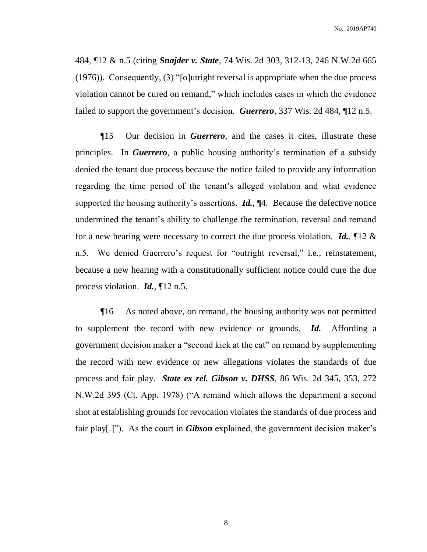484, ¶12 & n.5 (citing *Snajder v. State*, 74 Wis. [2d 303, 312-13, 246 N.W.2d 665](http://www.westlaw.com/Link/Document/FullText?findType=Y&serNum=1976132570&pubNum=595&originatingDoc=Ica147d45e44d11e0a06efc94fb34cdeb&refType=RP&originationContext=document&vr=3.0&rs=cblt1.0&transitionType=DocumentItem&contextData=(sc.Search))  [\(1976\)\)](http://www.westlaw.com/Link/Document/FullText?findType=Y&serNum=1976132570&pubNum=595&originatingDoc=Ica147d45e44d11e0a06efc94fb34cdeb&refType=RP&originationContext=document&vr=3.0&rs=cblt1.0&transitionType=DocumentItem&contextData=(sc.Search)). Consequently, (3) "[o]utright reversal is appropriate when the due process violation cannot be cured on remand," which includes cases in which the evidence failed to support the government's decision. *Guerrero*, 337 Wis. 2d 484, ¶12 n.5.

¶15 Our decision in *Guerrero*, and the cases it cites, illustrate these principles. In *Guerrero*, a public housing authority's termination of a subsidy denied the tenant due process because the notice failed to provide any information regarding the time period of the tenant's alleged violation and what evidence supported the housing authority's assertions. *Id.*, ¶4. Because the defective notice undermined the tenant's ability to challenge the termination, reversal and remand for a new hearing were necessary to correct the due process violation. *Id.*, ¶12 & n.5. We denied Guerrero's request for "outright reversal," i.e., reinstatement, because a new hearing with a constitutionally sufficient notice could cure the due process violation. *Id.*, ¶12 n.5.

¶16 As noted above, on remand, the housing authority was not permitted to supplement the record with new evidence or grounds. *Id.* Affording a government decision maker a "second kick at the cat" on remand by supplementing the record with new evidence or new allegations violates the standards of due process and fair play. *State ex rel. Gibson v. DHSS*, 86 Wis. 2d 345, 353, 272 N.W.2d 395 (Ct. App. 1978) ("A remand which allows the department a second shot at establishing grounds for revocation violates the standards of due process and fair play[.]"). As the court in *Gibson* explained, the government decision maker's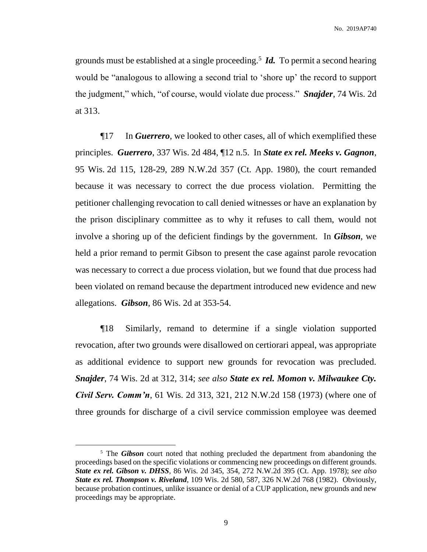grounds must be established at a single proceeding.<sup>5</sup> *Id.* To permit a second hearing would be "analogous to allowing a second trial to 'shore up' the record to support the judgment," which, "of course, would violate due process." *Snajder*, 74 Wis. 2d at 313.

¶17 In *Guerrero*, we looked to other cases, all of which exemplified these principles. *Guerrero*, 337 Wis. 2d 484, ¶12 n.5. In *[State ex rel. Meeks v. Gagnon](http://www.westlaw.com/Link/Document/FullText?findType=Y&serNum=1980103813&pubNum=595&originatingDoc=Ica147d45e44d11e0a06efc94fb34cdeb&refType=RP&originationContext=document&vr=3.0&rs=cblt1.0&transitionType=DocumentItem&contextData=(sc.Search))*, 95 Wis. [2d 115, 128-29, 289 N.W.2d 357 \(Ct.](http://www.westlaw.com/Link/Document/FullText?findType=Y&serNum=1980103813&pubNum=595&originatingDoc=Ica147d45e44d11e0a06efc94fb34cdeb&refType=RP&originationContext=document&vr=3.0&rs=cblt1.0&transitionType=DocumentItem&contextData=(sc.Search)) App. 1980), the court remanded because it was necessary to correct the due process violation. Permitting the petitioner challenging revocation to call denied witnesses or have an explanation by the prison disciplinary committee as to why it refuses to call them, would not involve a shoring up of the deficient findings by the government. In *[Gibson](http://www.westlaw.com/Link/Document/FullText?findType=Y&serNum=1978128965&pubNum=595&originatingDoc=Ica147d45e44d11e0a06efc94fb34cdeb&refType=RP&originationContext=document&vr=3.0&rs=cblt1.0&transitionType=DocumentItem&contextData=(sc.Search))*, we held a prior remand to permit Gibson to present the case against parole revocation was necessary to correct a due process violation, but we found that due process had been violated on remand because the department introduced new evidence and new allegations. *Gibson*, 86 Wis. 2d at 353-54.

¶18 Similarly, remand to determine if a single violation supported revocation, after two grounds were disallowed on certiorari appeal, was appropriate as additional evidence to support new grounds for revocation was precluded. *Snajder*, 74 Wis. 2d at 312, 314; *see also State ex rel. Momon v. Milwaukee Cty. Civil Serv. Comm'n*, 61 Wis. 2d 313, 321, 212 N.W.2d 158 (1973) (where one of three grounds for discharge of a civil service commission employee was deemed

<sup>&</sup>lt;sup>5</sup> The *Gibson* court noted that nothing precluded the department from abandoning the proceedings based on the specific violations or commencing new proceedings on different grounds. *State ex rel. Gibson v. DHSS*, 86 Wis. [2d 345, 354, 272 N.W.2d 395 \(Ct.](http://www.westlaw.com/Link/Document/FullText?findType=Y&serNum=1978128965&pubNum=595&originatingDoc=Ica147d45e44d11e0a06efc94fb34cdeb&refType=RP&originationContext=document&vr=3.0&rs=cblt1.0&transitionType=DocumentItem&contextData=(sc.Search)) App. 1978); *see also State ex rel. Thompson v. Riveland*, 109 Wis. 2d 580, 587, 326 N.W.2d 768 (1982). Obviously, because probation continues, unlike issuance or denial of a CUP application, new grounds and new proceedings may be appropriate.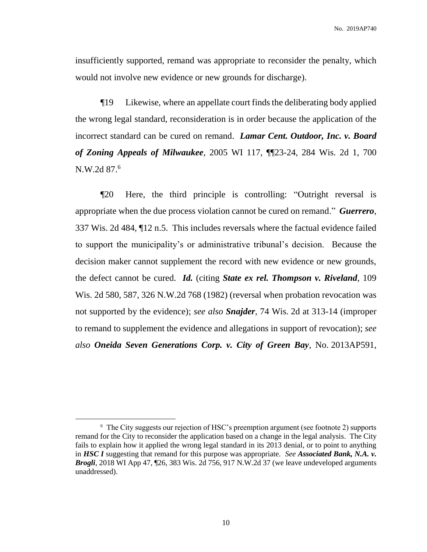No. 2019AP740

insufficiently supported, remand was appropriate to reconsider the penalty, which would not involve new evidence or new grounds for discharge).

¶19 Likewise, where an appellate court finds the deliberating body applied the wrong legal standard, reconsideration is in order because the application of the incorrect standard can be cured on remand. *Lamar Cent. Outdoor, Inc. v. Board of Zoning Appeals of Milwaukee*, 2005 WI 117, ¶¶23-24, 284 Wis. 2d 1, 700 N.W.2d 87.<sup>6</sup>

¶20 Here, the third principle is controlling: "Outright reversal is appropriate when the due process violation cannot be cured on remand." *Guerrero*, 337 Wis. 2d 484, ¶12 n.5. This includes reversals where the factual evidence failed to support the municipality's or administrative tribunal's decision. Because the decision maker cannot supplement the record with new evidence or new grounds, the defect cannot be cured. *Id.* (citing *[State ex rel. Thompson v. Riveland](http://www.westlaw.com/Link/Document/FullText?findType=Y&serNum=1982151773&pubNum=595&originatingDoc=Ica147d45e44d11e0a06efc94fb34cdeb&refType=RP&originationContext=document&vr=3.0&rs=cblt1.0&transitionType=DocumentItem&contextData=(sc.Search))*, 109 Wis. [2d 580, 587, 326 N.W.2d 768 \(1982\)](http://www.westlaw.com/Link/Document/FullText?findType=Y&serNum=1982151773&pubNum=595&originatingDoc=Ica147d45e44d11e0a06efc94fb34cdeb&refType=RP&originationContext=document&vr=3.0&rs=cblt1.0&transitionType=DocumentItem&contextData=(sc.Search)) (reversal when probation revocation was not supported by the evidence); *see also Snajder*, 74 Wis. 2d at 313-14 (improper to remand to supplement the evidence and allegations in support of revocation); *see also Oneida Seven Generations Corp. v. City of Green Bay*, No. 2013AP591,

<sup>&</sup>lt;sup>6</sup> The City suggests our rejection of HSC's preemption argument (see footnote 2) supports remand for the City to reconsider the application based on a change in the legal analysis. The City fails to explain how it applied the wrong legal standard in its 2013 denial, or to point to anything in *HSC I* suggesting that remand for this purpose was appropriate. *See Associated Bank, N.A. v. Brogli*, 2018 WI App 47, ¶26, 383 Wis. 2d 756, 917 N.W.2d 37 (we leave undeveloped arguments unaddressed).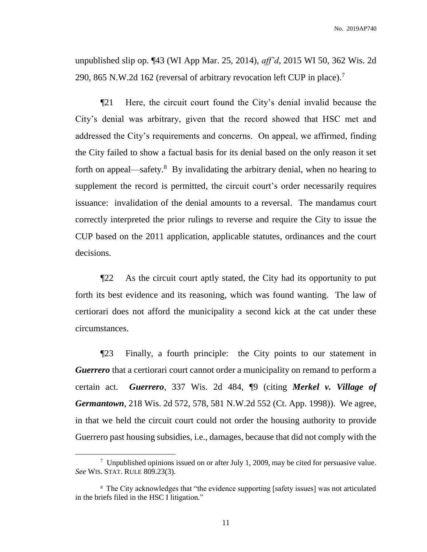unpublished slip op. ¶43 (WI App Mar. 25, 2014), *aff'd*, 2015 WI 50, 362 Wis. 2d 290, 865 N.W.2d 162 (reversal of arbitrary revocation left CUP in place).<sup>7</sup>

¶21 Here, the circuit court found the City's denial invalid because the City's denial was arbitrary, given that the record showed that HSC met and addressed the City's requirements and concerns. On appeal, we affirmed, finding the City failed to show a factual basis for its denial based on the only reason it set forth on appeal—safety.<sup>8</sup> By invalidating the arbitrary denial, when no hearing to supplement the record is permitted, the circuit court's order necessarily requires issuance: invalidation of the denial amounts to a reversal. The mandamus court correctly interpreted the prior rulings to reverse and require the City to issue the CUP based on the 2011 application, applicable statutes, ordinances and the court decisions.

¶22 As the circuit court aptly stated, the City had its opportunity to put forth its best evidence and its reasoning, which was found wanting. The law of certiorari does not afford the municipality a second kick at the cat under these circumstances.

¶23 Finally, a fourth principle: the City points to our statement in *Guerrero* that a certiorari court cannot order a municipality on remand to perform a certain act. *Guerrero*, 337 Wis. 2d 484, ¶9 (citing *Merkel v. Village of Germantown*, 218 Wis. 2d 572, 578, 581 N.W.2d 552 (Ct. App. 1998)). We agree, in that we held the circuit court could not order the housing authority to provide Guerrero past housing subsidies, i.e., damages, because that did not comply with the

<sup>&</sup>lt;sup>7</sup> Unpublished opinions issued on or after July 1, 2009, may be cited for persuasive value. *See* WIS. STAT. RULE 809.23(3).

<sup>&</sup>lt;sup>8</sup> The City acknowledges that "the evidence supporting [safety issues] was not articulated in the briefs filed in the HSC I litigation."